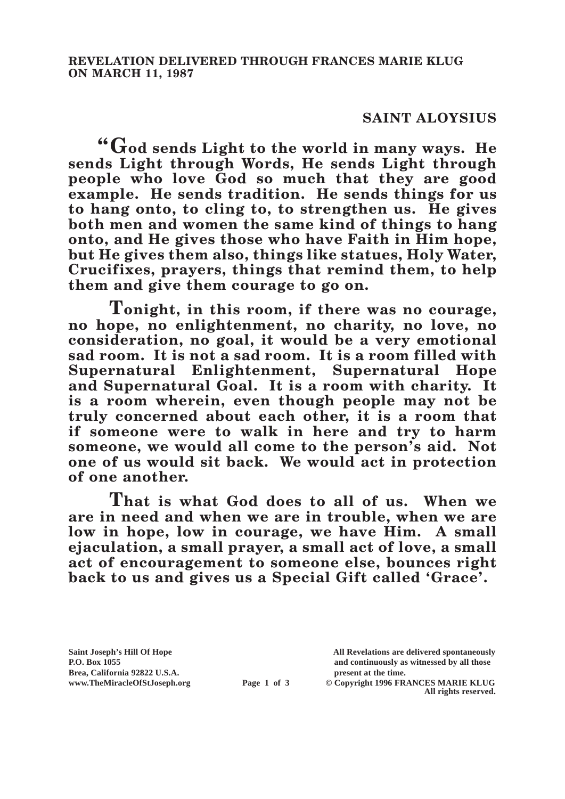## **SAINT ALOYSIUS**

**"God sends Light to the world in many ways. He sends Light through Words, He sends Light through people who love God so much that they are good example. He sends tradition. He sends things for us to hang onto, to cling to, to strengthen us. He gives both men and women the same kind of things to hang onto, and He gives those who have Faith in Him hope, but He gives them also, things like statues, Holy Water, Crucifixes, prayers, things that remind them, to help them and give them courage to go on.**

**Tonight, in this room, if there was no courage, no hope, no enlightenment, no charity, no love, no consideration, no goal, it would be a very emotional sad room. It is not a sad room. It is a room filled with Supernatural Enlightenment, Supernatural Hope and Supernatural Goal. It is a room with charity. It is a room wherein, even though people may not be truly concerned about each other, it is a room that if someone were to walk in here and try to harm someone, we would all come to the person's aid. Not one of us would sit back. We would act in protection of one another.**

**That is what God does to all of us. When we are in need and when we are in trouble, when we are low in hope, low in courage, we have Him. A small ejaculation, a small prayer, a small act of love, a small act of encouragement to someone else, bounces right back to us and gives us a Special Gift called 'Grace'.**

**Brea, California 92822 U.S.A. present at the time.**<br> **present at the time.**<br> **present at the time.**<br> **Page 1 of 3** © Copyright 1996 FR.

**Saint Joseph's Hill Of Hope All Revelations are delivered spontaneously P.O. Box 1055 and continuously as witnessed by all those** 

**Page 1 of 3** © Copyright 1996 FRANCES MARIE KLUG **All rights reserved.**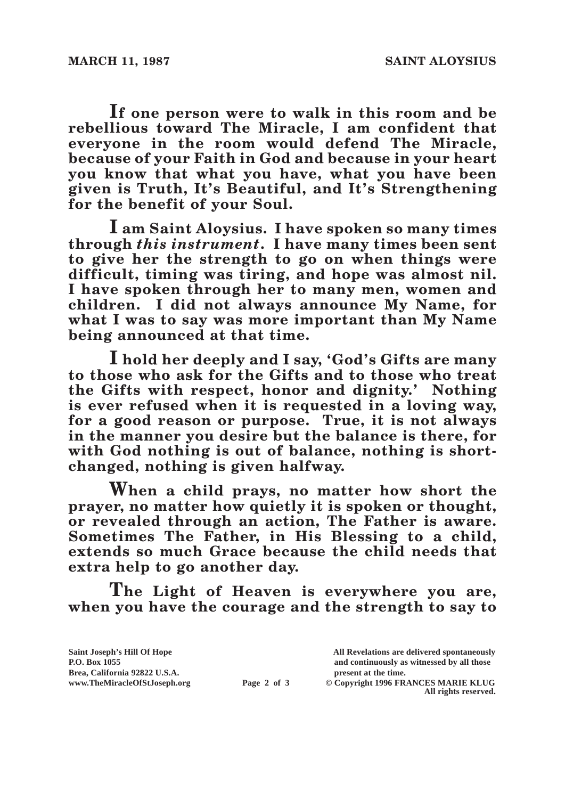**If one person were to walk in this room and be rebellious toward The Miracle, I am confident that everyone in the room would defend The Miracle, because of your Faith in God and because in your heart you know that what you have, what you have been given is Truth, It's Beautiful, and It's Strengthening for the benefit of your Soul.**

**I am Saint Aloysius. I have spoken so many times through** *this instrument***. I have many times been sent to give her the strength to go on when things were difficult, timing was tiring, and hope was almost nil. I have spoken through her to many men, women and children. I did not always announce My Name, for what I was to say was more important than My Name being announced at that time.**

**I hold her deeply and I say, 'God's Gifts are many to those who ask for the Gifts and to those who treat the Gifts with respect, honor and dignity.' Nothing is ever refused when it is requested in a loving way, for a good reason or purpose. True, it is not always in the manner you desire but the balance is there, for with God nothing is out of balance, nothing is shortchanged, nothing is given halfway.**

**When a child prays, no matter how short the prayer, no matter how quietly it is spoken or thought, or revealed through an action, The Father is aware. Sometimes The Father, in His Blessing to a child, extends so much Grace because the child needs that extra help to go another day.**

**The Light of Heaven is everywhere you are, when you have the courage and the strength to say to** 

| Saint Joseph's Hill Of Hope   |             | All Revelations are delivered spontaneously |
|-------------------------------|-------------|---------------------------------------------|
| <b>P.O. Box 1055</b>          |             | and continuously as witnessed by all those  |
| Brea, California 92822 U.S.A. |             | present at the time.                        |
| www.TheMiracleOfStJoseph.org  | Page 2 of 3 | © Copyright 1996 FRANCES MARIE KLUG         |
|                               |             | All rights reserved.                        |